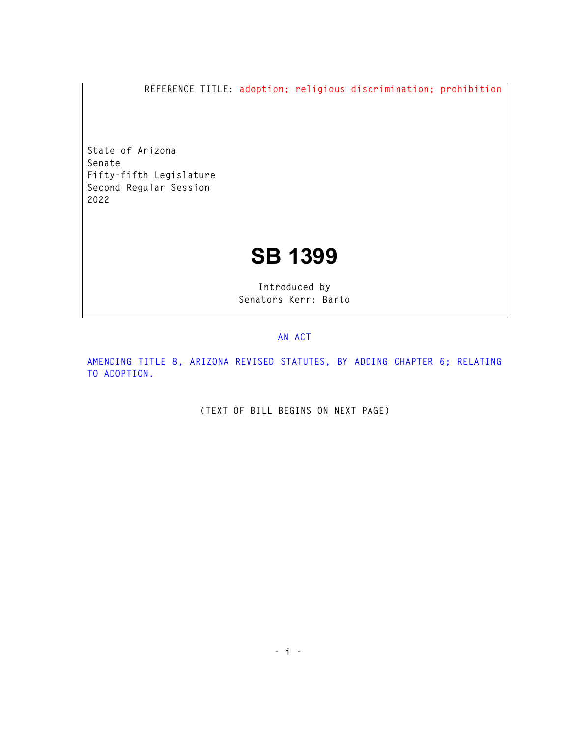**REFERENCE TITLE: adoption; religious discrimination; prohibition** 

**State of Arizona Senate Fifty-fifth Legislature Second Regular Session 2022** 

## **SB 1399**

**Introduced by Senators Kerr: Barto** 

## **AN ACT**

**AMENDING TITLE 8, ARIZONA REVISED STATUTES, BY ADDING CHAPTER 6; RELATING TO ADOPTION.** 

**(TEXT OF BILL BEGINS ON NEXT PAGE)**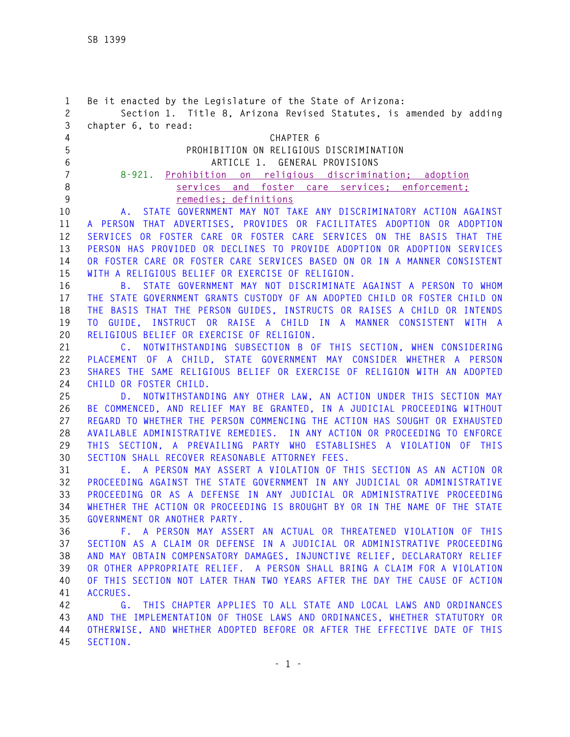| $\mathbf{1}$<br>$\mathbf{2}$                                               | Be it enacted by the Legislature of the State of Arizona:<br>Section 1. Title 8, Arizona Revised Statutes, is amended by adding                                                                                                                                                                                                                                                                                                                                                                                                                                                                                                                                                                                                                                                                                                                                                                                                                               |
|----------------------------------------------------------------------------|---------------------------------------------------------------------------------------------------------------------------------------------------------------------------------------------------------------------------------------------------------------------------------------------------------------------------------------------------------------------------------------------------------------------------------------------------------------------------------------------------------------------------------------------------------------------------------------------------------------------------------------------------------------------------------------------------------------------------------------------------------------------------------------------------------------------------------------------------------------------------------------------------------------------------------------------------------------|
| 3                                                                          | chapter 6, to read:                                                                                                                                                                                                                                                                                                                                                                                                                                                                                                                                                                                                                                                                                                                                                                                                                                                                                                                                           |
| 4                                                                          | CHAPTER 6                                                                                                                                                                                                                                                                                                                                                                                                                                                                                                                                                                                                                                                                                                                                                                                                                                                                                                                                                     |
| 5                                                                          | PROHIBITION ON RELIGIOUS DISCRIMINATION                                                                                                                                                                                                                                                                                                                                                                                                                                                                                                                                                                                                                                                                                                                                                                                                                                                                                                                       |
| 6                                                                          | ARTICLE 1. GENERAL PROVISIONS                                                                                                                                                                                                                                                                                                                                                                                                                                                                                                                                                                                                                                                                                                                                                                                                                                                                                                                                 |
| $\overline{7}$                                                             | Prohibition on religious discrimination; adoption<br>$8 - 921$ .                                                                                                                                                                                                                                                                                                                                                                                                                                                                                                                                                                                                                                                                                                                                                                                                                                                                                              |
| 8                                                                          | services and foster care services; enforcement;                                                                                                                                                                                                                                                                                                                                                                                                                                                                                                                                                                                                                                                                                                                                                                                                                                                                                                               |
| 9                                                                          | remedies; definitions                                                                                                                                                                                                                                                                                                                                                                                                                                                                                                                                                                                                                                                                                                                                                                                                                                                                                                                                         |
| 10                                                                         | STATE GOVERNMENT MAY NOT TAKE ANY DISCRIMINATORY ACTION AGAINST<br>A.,                                                                                                                                                                                                                                                                                                                                                                                                                                                                                                                                                                                                                                                                                                                                                                                                                                                                                        |
| 11                                                                         | THAT ADVERTISES, PROVIDES OR FACILITATES ADOPTION OR ADOPTION<br>A PERSON                                                                                                                                                                                                                                                                                                                                                                                                                                                                                                                                                                                                                                                                                                                                                                                                                                                                                     |
| 12                                                                         | SERVICES OR FOSTER CARE OR FOSTER CARE SERVICES ON THE BASIS THAT THE                                                                                                                                                                                                                                                                                                                                                                                                                                                                                                                                                                                                                                                                                                                                                                                                                                                                                         |
| 13                                                                         | PERSON HAS PROVIDED OR DECLINES TO PROVIDE ADOPTION OR ADOPTION SERVICES<br>OR FOSTER CARE OR FOSTER CARE SERVICES BASED ON OR IN A MANNER CONSISTENT                                                                                                                                                                                                                                                                                                                                                                                                                                                                                                                                                                                                                                                                                                                                                                                                         |
| 14<br>15                                                                   | WITH A RELIGIOUS BELIEF OR EXERCISE OF RELIGION.                                                                                                                                                                                                                                                                                                                                                                                                                                                                                                                                                                                                                                                                                                                                                                                                                                                                                                              |
| 16                                                                         | B. STATE GOVERNMENT MAY NOT DISCRIMINATE AGAINST A PERSON TO WHOM                                                                                                                                                                                                                                                                                                                                                                                                                                                                                                                                                                                                                                                                                                                                                                                                                                                                                             |
| 17                                                                         | THE STATE GOVERNMENT GRANTS CUSTODY OF AN ADOPTED CHILD OR FOSTER CHILD ON                                                                                                                                                                                                                                                                                                                                                                                                                                                                                                                                                                                                                                                                                                                                                                                                                                                                                    |
| 18                                                                         | THE BASIS THAT THE PERSON GUIDES, INSTRUCTS OR RAISES A CHILD OR INTENDS                                                                                                                                                                                                                                                                                                                                                                                                                                                                                                                                                                                                                                                                                                                                                                                                                                                                                      |
| 19                                                                         | GUIDE, INSTRUCT OR RAISE A CHILD IN A MANNER CONSISTENT<br>WITH A<br>T0                                                                                                                                                                                                                                                                                                                                                                                                                                                                                                                                                                                                                                                                                                                                                                                                                                                                                       |
| 20                                                                         | RELIGIOUS BELIEF OR EXERCISE OF RELIGION.                                                                                                                                                                                                                                                                                                                                                                                                                                                                                                                                                                                                                                                                                                                                                                                                                                                                                                                     |
| 21                                                                         | C. NOTWITHSTANDING SUBSECTION B OF THIS SECTION, WHEN CONSIDERING                                                                                                                                                                                                                                                                                                                                                                                                                                                                                                                                                                                                                                                                                                                                                                                                                                                                                             |
| 22                                                                         | PLACEMENT OF A CHILD, STATE GOVERNMENT MAY CONSIDER WHETHER A PERSON                                                                                                                                                                                                                                                                                                                                                                                                                                                                                                                                                                                                                                                                                                                                                                                                                                                                                          |
| 23                                                                         | SHARES THE SAME RELIGIOUS BELIEF OR EXERCISE OF RELIGION WITH AN ADOPTED                                                                                                                                                                                                                                                                                                                                                                                                                                                                                                                                                                                                                                                                                                                                                                                                                                                                                      |
| 24                                                                         | CHILD OR FOSTER CHILD.                                                                                                                                                                                                                                                                                                                                                                                                                                                                                                                                                                                                                                                                                                                                                                                                                                                                                                                                        |
| 25                                                                         | D. NOTWITHSTANDING ANY OTHER LAW, AN ACTION UNDER THIS SECTION MAY                                                                                                                                                                                                                                                                                                                                                                                                                                                                                                                                                                                                                                                                                                                                                                                                                                                                                            |
| 26                                                                         | BE COMMENCED, AND RELIEF MAY BE GRANTED, IN A JUDICIAL PROCEEDING WITHOUT                                                                                                                                                                                                                                                                                                                                                                                                                                                                                                                                                                                                                                                                                                                                                                                                                                                                                     |
| 27                                                                         | REGARD TO WHETHER THE PERSON COMMENCING THE ACTION HAS SOUGHT OR EXHAUSTED                                                                                                                                                                                                                                                                                                                                                                                                                                                                                                                                                                                                                                                                                                                                                                                                                                                                                    |
| 28                                                                         | AVAILABLE ADMINISTRATIVE REMEDIES. IN ANY ACTION OR PROCEEDING TO ENFORCE                                                                                                                                                                                                                                                                                                                                                                                                                                                                                                                                                                                                                                                                                                                                                                                                                                                                                     |
| 29                                                                         | THIS SECTION, A PREVAILING PARTY WHO ESTABLISHES A VIOLATION OF THIS                                                                                                                                                                                                                                                                                                                                                                                                                                                                                                                                                                                                                                                                                                                                                                                                                                                                                          |
| 30                                                                         |                                                                                                                                                                                                                                                                                                                                                                                                                                                                                                                                                                                                                                                                                                                                                                                                                                                                                                                                                               |
| 31                                                                         | E. A PERSON MAY ASSERT A VIOLATION OF THIS SECTION AS AN ACTION OR                                                                                                                                                                                                                                                                                                                                                                                                                                                                                                                                                                                                                                                                                                                                                                                                                                                                                            |
|                                                                            |                                                                                                                                                                                                                                                                                                                                                                                                                                                                                                                                                                                                                                                                                                                                                                                                                                                                                                                                                               |
|                                                                            |                                                                                                                                                                                                                                                                                                                                                                                                                                                                                                                                                                                                                                                                                                                                                                                                                                                                                                                                                               |
|                                                                            |                                                                                                                                                                                                                                                                                                                                                                                                                                                                                                                                                                                                                                                                                                                                                                                                                                                                                                                                                               |
|                                                                            |                                                                                                                                                                                                                                                                                                                                                                                                                                                                                                                                                                                                                                                                                                                                                                                                                                                                                                                                                               |
|                                                                            |                                                                                                                                                                                                                                                                                                                                                                                                                                                                                                                                                                                                                                                                                                                                                                                                                                                                                                                                                               |
|                                                                            |                                                                                                                                                                                                                                                                                                                                                                                                                                                                                                                                                                                                                                                                                                                                                                                                                                                                                                                                                               |
|                                                                            |                                                                                                                                                                                                                                                                                                                                                                                                                                                                                                                                                                                                                                                                                                                                                                                                                                                                                                                                                               |
|                                                                            |                                                                                                                                                                                                                                                                                                                                                                                                                                                                                                                                                                                                                                                                                                                                                                                                                                                                                                                                                               |
|                                                                            |                                                                                                                                                                                                                                                                                                                                                                                                                                                                                                                                                                                                                                                                                                                                                                                                                                                                                                                                                               |
|                                                                            |                                                                                                                                                                                                                                                                                                                                                                                                                                                                                                                                                                                                                                                                                                                                                                                                                                                                                                                                                               |
|                                                                            |                                                                                                                                                                                                                                                                                                                                                                                                                                                                                                                                                                                                                                                                                                                                                                                                                                                                                                                                                               |
|                                                                            |                                                                                                                                                                                                                                                                                                                                                                                                                                                                                                                                                                                                                                                                                                                                                                                                                                                                                                                                                               |
| 45                                                                         | SECTION.                                                                                                                                                                                                                                                                                                                                                                                                                                                                                                                                                                                                                                                                                                                                                                                                                                                                                                                                                      |
| 32<br>33<br>34<br>35<br>36<br>37<br>38<br>39<br>40<br>41<br>42<br>43<br>44 | SECTION SHALL RECOVER REASONABLE ATTORNEY FEES.<br>PROCEEDING AGAINST THE STATE GOVERNMENT IN ANY JUDICIAL OR ADMINISTRATIVE<br>PROCEEDING OR AS A DEFENSE IN ANY JUDICIAL OR ADMINISTRATIVE PROCEEDING<br>WHETHER THE ACTION OR PROCEEDING IS BROUGHT BY OR IN THE NAME OF THE STATE<br>GOVERNMENT OR ANOTHER PARTY.<br>F. A PERSON MAY ASSERT AN ACTUAL OR THREATENED VIOLATION OF THIS<br>SECTION AS A CLAIM OR DEFENSE IN A JUDICIAL OR ADMINISTRATIVE PROCEEDING<br>AND MAY OBTAIN COMPENSATORY DAMAGES, INJUNCTIVE RELIEF, DECLARATORY RELIEF<br>OR OTHER APPROPRIATE RELIEF. A PERSON SHALL BRING A CLAIM FOR A VIOLATION<br>OF THIS SECTION NOT LATER THAN TWO YEARS AFTER THE DAY THE CAUSE OF ACTION<br>ACCRUES.<br>THIS CHAPTER APPLIES TO ALL STATE AND LOCAL LAWS AND ORDINANCES<br>G.<br>AND THE IMPLEMENTATION OF THOSE LAWS AND ORDINANCES, WHETHER STATUTORY OR<br>OTHERWISE, AND WHETHER ADOPTED BEFORE OR AFTER THE EFFECTIVE DATE OF THIS |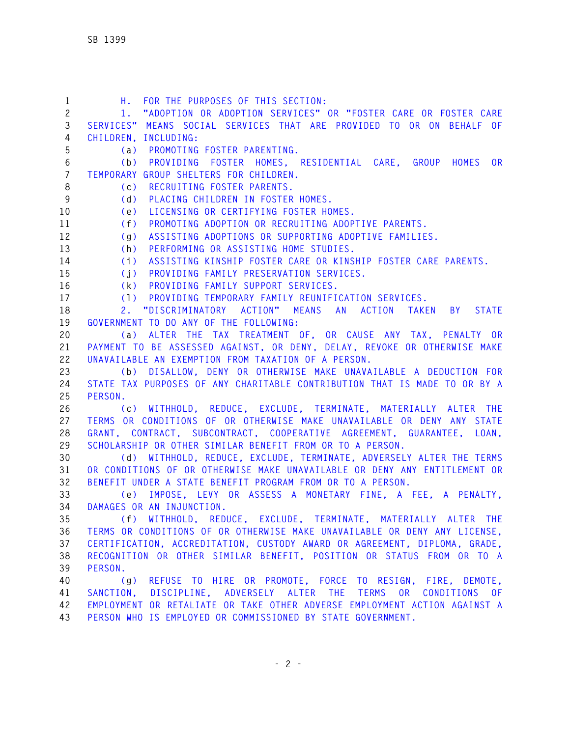| $\mathbf{1}$   | H. FOR THE PURPOSES OF THIS SECTION:                                                                                                     |
|----------------|------------------------------------------------------------------------------------------------------------------------------------------|
| $2^{\circ}$    | "ADOPTION OR ADOPTION SERVICES" OR "FOSTER CARE OR FOSTER CARE<br>1.                                                                     |
| 3              | SERVICES" MEANS SOCIAL SERVICES THAT ARE PROVIDED TO OR ON BEHALF OF                                                                     |
| 4              | CHILDREN, INCLUDING:                                                                                                                     |
| 5              | (a) PROMOTING FOSTER PARENTING.                                                                                                          |
| 6              | (b) PROVIDING FOSTER HOMES, RESIDENTIAL CARE, GROUP HOMES OR                                                                             |
| $\overline{7}$ | TEMPORARY GROUP SHELTERS FOR CHILDREN.                                                                                                   |
| 8              | RECRUITING FOSTER PARENTS.<br>(c)                                                                                                        |
| 9              | (d) PLACING CHILDREN IN FOSTER HOMES.                                                                                                    |
| 10             | LICENSING OR CERTIFYING FOSTER HOMES.<br>(e)                                                                                             |
| 11             | (f)<br>PROMOTING ADOPTION OR RECRUITING ADOPTIVE PARENTS.                                                                                |
| 12             | (g) ASSISTING ADOPTIONS OR SUPPORTING ADOPTIVE FAMILIES.                                                                                 |
| 13             | PERFORMING OR ASSISTING HOME STUDIES.<br>(h)                                                                                             |
| 14             | (i)<br>ASSISTING KINSHIP FOSTER CARE OR KINSHIP FOSTER CARE PARENTS.                                                                     |
| 15             | PROVIDING FAMILY PRESERVATION SERVICES.<br>(j)                                                                                           |
| 16             | (k) PROVIDING FAMILY SUPPORT SERVICES.                                                                                                   |
| 17<br>18       | (1) PROVIDING TEMPORARY FAMILY REUNIFICATION SERVICES.<br>2. "DISCRIMINATORY ACTION" MEANS AN ACTION                                     |
| 19             | TAKEN BY<br><b>STATE</b><br>GOVERNMENT TO DO ANY OF THE FOLLOWING:                                                                       |
| 20             | (a) ALTER THE TAX TREATMENT OF, OR CAUSE ANY TAX, PENALTY OR                                                                             |
| 21             | PAYMENT TO BE ASSESSED AGAINST, OR DENY, DELAY, REVOKE OR OTHERWISE MAKE                                                                 |
| 22             | UNAVAILABLE AN EXEMPTION FROM TAXATION OF A PERSON.                                                                                      |
| 23             | DISALLOW, DENY OR OTHERWISE MAKE UNAVAILABLE A DEDUCTION FOR<br>(b)                                                                      |
| 24             | STATE TAX PURPOSES OF ANY CHARITABLE CONTRIBUTION THAT IS MADE TO OR BY A                                                                |
| 25             | PERSON.                                                                                                                                  |
| 26             | (c) WITHHOLD, REDUCE, EXCLUDE, TERMINATE, MATERIALLY ALTER THE                                                                           |
| 27             | TERMS OR CONDITIONS OF OR OTHERWISE MAKE UNAVAILABLE OR DENY ANY STATE                                                                   |
| 28             | GRANT, CONTRACT, SUBCONTRACT, COOPERATIVE AGREEMENT, GUARANTEE, LOAN,                                                                    |
| 29             | SCHOLARSHIP OR OTHER SIMILAR BENEFIT FROM OR TO A PERSON.                                                                                |
| 30             | (d) WITHHOLD, REDUCE, EXCLUDE, TERMINATE, ADVERSELY ALTER THE TERMS                                                                      |
| 31             | OR CONDITIONS OF OR OTHERWISE MAKE UNAVAILABLE OR DENY ANY ENTITLEMENT OR                                                                |
| 32             | BENEFIT UNDER A STATE BENEFIT PROGRAM FROM OR TO A PERSON.                                                                               |
| 33             | (e) IMPOSE, LEVY OR ASSESS A MONETARY FINE, A FEE, A PENALTY,                                                                            |
| 34             | DAMAGES OR AN INJUNCTION.                                                                                                                |
| 35             | (f) WITHHOLD, REDUCE, EXCLUDE, TERMINATE, MATERIALLY ALTER THE                                                                           |
| 36             | TERMS OR CONDITIONS OF OR OTHERWISE MAKE UNAVAILABLE OR DENY ANY LICENSE,                                                                |
| 37             | CERTIFICATION, ACCREDITATION, CUSTODY AWARD OR AGREEMENT, DIPLOMA, GRADE,                                                                |
| 38             | RECOGNITION OR OTHER SIMILAR BENEFIT, POSITION OR STATUS FROM OR TO A                                                                    |
| 39             | PERSON.                                                                                                                                  |
| 40             | (g) REFUSE TO HIRE OR PROMOTE, FORCE TO RESIGN, FIRE, DEMOTE,                                                                            |
| 41             | SANCTION, DISCIPLINE, ADVERSELY ALTER THE TERMS OR CONDITIONS OF                                                                         |
| 42             |                                                                                                                                          |
| 43             | EMPLOYMENT OR RETALIATE OR TAKE OTHER ADVERSE EMPLOYMENT ACTION AGAINST A<br>PERSON WHO IS EMPLOYED OR COMMISSIONED BY STATE GOVERNMENT. |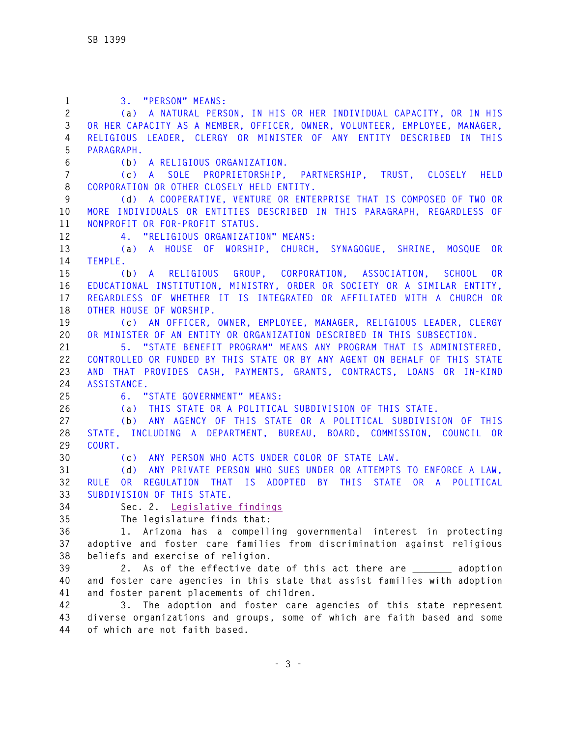| $\mathbf{1}$<br>$\mathbf{2}^{\prime}$<br>$\mathfrak{Z}$ | 3. "PERSON" MEANS:<br>(a) A NATURAL PERSON, IN HIS OR HER INDIVIDUAL CAPACITY, OR IN HIS<br>OR HER CAPACITY AS A MEMBER, OFFICER, OWNER, VOLUNTEER, EMPLOYEE, MANAGER, |
|---------------------------------------------------------|------------------------------------------------------------------------------------------------------------------------------------------------------------------------|
| $\overline{4}$                                          | RELIGIOUS LEADER, CLERGY OR MINISTER OF ANY ENTITY DESCRIBED IN THIS                                                                                                   |
| 5                                                       | PARAGRAPH.                                                                                                                                                             |
| $6\phantom{.}6$                                         | (b) A RELIGIOUS ORGANIZATION.                                                                                                                                          |
| $\overline{7}$                                          | (c) A SOLE PROPRIETORSHIP, PARTNERSHIP, TRUST, CLOSELY HELD                                                                                                            |
| 8                                                       | CORPORATION OR OTHER CLOSELY HELD ENTITY.                                                                                                                              |
| 9                                                       | (d) A COOPERATIVE, VENTURE OR ENTERPRISE THAT IS COMPOSED OF TWO OR                                                                                                    |
| 10                                                      | MORE INDIVIDUALS OR ENTITIES DESCRIBED IN THIS PARAGRAPH, REGARDLESS OF                                                                                                |
| 11                                                      | NONPROFIT OR FOR-PROFIT STATUS.                                                                                                                                        |
| 12                                                      | 4. "RELIGIOUS ORGANIZATION" MEANS:                                                                                                                                     |
| 13                                                      | (a) A HOUSE OF WORSHIP, CHURCH, SYNAGOGUE, SHRINE, MOSQUE<br>0R                                                                                                        |
| 14                                                      | TEMPLE.                                                                                                                                                                |
| 15                                                      | (b) A RELIGIOUS GROUP, CORPORATION, ASSOCIATION, SCHOOL OR                                                                                                             |
| 16                                                      | EDUCATIONAL INSTITUTION, MINISTRY, ORDER OR SOCIETY OR A SIMILAR ENTITY,                                                                                               |
| 17                                                      | REGARDLESS OF WHETHER IT IS INTEGRATED OR AFFILIATED WITH A CHURCH OR                                                                                                  |
| 18<br>19                                                | OTHER HOUSE OF WORSHIP.<br>(c) AN OFFICER, OWNER, EMPLOYEE, MANAGER, RELIGIOUS LEADER, CLERGY                                                                          |
| 20                                                      | OR MINISTER OF AN ENTITY OR ORGANIZATION DESCRIBED IN THIS SUBSECTION.                                                                                                 |
| 21                                                      | 5. "STATE BENEFIT PROGRAM" MEANS ANY PROGRAM THAT IS ADMINISTERED,                                                                                                     |
| 22                                                      | CONTROLLED OR FUNDED BY THIS STATE OR BY ANY AGENT ON BEHALF OF THIS STATE                                                                                             |
| 23                                                      | AND THAT PROVIDES CASH, PAYMENTS, GRANTS, CONTRACTS, LOANS OR IN-KIND                                                                                                  |
| 24                                                      | ASSISTANCE.                                                                                                                                                            |
| 25                                                      | 6. "STATE GOVERNMENT" MEANS:                                                                                                                                           |
| 26                                                      | (a) THIS STATE OR A POLITICAL SUBDIVISION OF THIS STATE.                                                                                                               |
| 27                                                      | (b) ANY AGENCY OF THIS STATE OR A POLITICAL SUBDIVISION OF THIS                                                                                                        |
| 28                                                      | STATE, INCLUDING A DEPARTMENT, BUREAU, BOARD, COMMISSION, COUNCIL OR                                                                                                   |
| 29                                                      | COURT.                                                                                                                                                                 |
| 30                                                      | (c) ANY PERSON WHO ACTS UNDER COLOR OF STATE LAW.                                                                                                                      |
| 31                                                      | (d) ANY PRIVATE PERSON WHO SUES UNDER OR ATTEMPTS TO ENFORCE A LAW,                                                                                                    |
| 32                                                      | <b>RULE</b><br>REGULATION THAT IS ADOPTED BY THIS STATE OR A POLITICAL<br>OR                                                                                           |
| 33                                                      | SUBDIVISION OF THIS STATE.                                                                                                                                             |
| 34                                                      | Sec. 2. Legislative findings                                                                                                                                           |
| 35                                                      | The legislature finds that:                                                                                                                                            |
| 36                                                      | Arizona has a compelling governmental interest in protecting<br>1.                                                                                                     |
| 37                                                      | adoptive and foster care families from discrimination against religious                                                                                                |
| 38                                                      | beliefs and exercise of religion.                                                                                                                                      |
| 39                                                      | 2. As of the effective date of this act there are ________ adoption                                                                                                    |
| 40                                                      | and foster care agencies in this state that assist families with adoption                                                                                              |
| 41                                                      | and foster parent placements of children.                                                                                                                              |
| 42                                                      | 3. The adoption and foster care agencies of this state represent                                                                                                       |

**43 diverse organizations and groups, some of which are faith based and some 44 of which are not faith based.**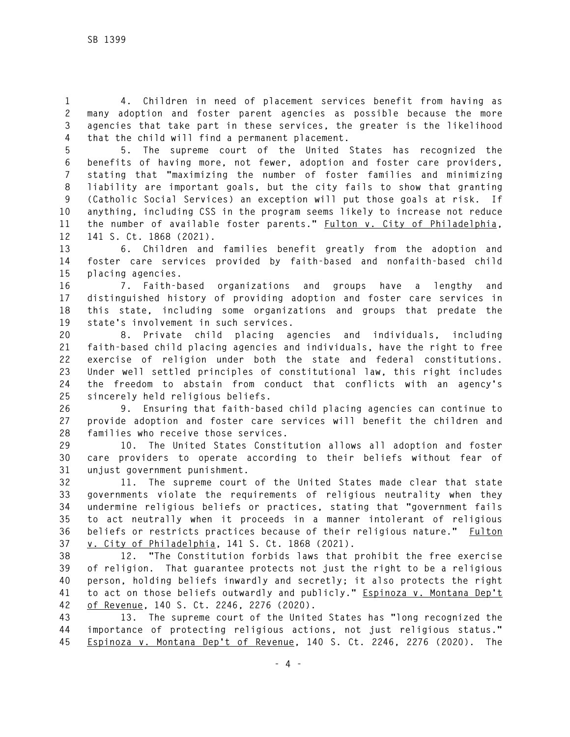**1 4. Children in need of placement services benefit from having as 2 many adoption and foster parent agencies as possible because the more 3 agencies that take part in these services, the greater is the likelihood 4 that the child will find a permanent placement.** 

**5 5. The supreme court of the United States has recognized the 6 benefits of having more, not fewer, adoption and foster care providers, 7 stating that "maximizing the number of foster families and minimizing 8 liability are important goals, but the city fails to show that granting 9 (Catholic Social Services) an exception will put those goals at risk. If 10 anything, including CSS in the program seems likely to increase not reduce 11 the number of available foster parents." Fulton v. City of Philadelphia, 12 141 S. Ct. 1868 (2021).** 

**13 6. Children and families benefit greatly from the adoption and 14 foster care services provided by faith-based and nonfaith-based child 15 placing agencies.** 

**16 7. Faith-based organizations and groups have a lengthy and 17 distinguished history of providing adoption and foster care services in 18 this state, including some organizations and groups that predate the 19 state's involvement in such services.** 

**20 8. Private child placing agencies and individuals, including 21 faith-based child placing agencies and individuals, have the right to free 22 exercise of religion under both the state and federal constitutions. 23 Under well settled principles of constitutional law, this right includes 24 the freedom to abstain from conduct that conflicts with an agency's 25 sincerely held religious beliefs.** 

**26 9. Ensuring that faith-based child placing agencies can continue to 27 provide adoption and foster care services will benefit the children and 28 families who receive those services.** 

**29 10. The United States Constitution allows all adoption and foster 30 care providers to operate according to their beliefs without fear of 31 unjust government punishment.** 

**32 11. The supreme court of the United States made clear that state 33 governments violate the requirements of religious neutrality when they 34 undermine religious beliefs or practices, stating that "government fails 35 to act neutrally when it proceeds in a manner intolerant of religious 36 beliefs or restricts practices because of their religious nature." Fulton 37 v. City of Philadelphia, 141 S. Ct. 1868 (2021).** 

**38 12. "The Constitution forbids laws that prohibit the free exercise 39 of religion. That guarantee protects not just the right to be a religious 40 person, holding beliefs inwardly and secretly; it also protects the right 41 to act on those beliefs outwardly and publicly." Espinoza v. Montana Dep't 42 of Revenue, 140 S. Ct. 2246, 2276 (2020).** 

**43 13. The supreme court of the United States has "long recognized the 44 importance of protecting religious actions, not just religious status." 45 Espinoza v. Montana Dep't of Revenue, 140 S. Ct. 2246, 2276 (2020). The**